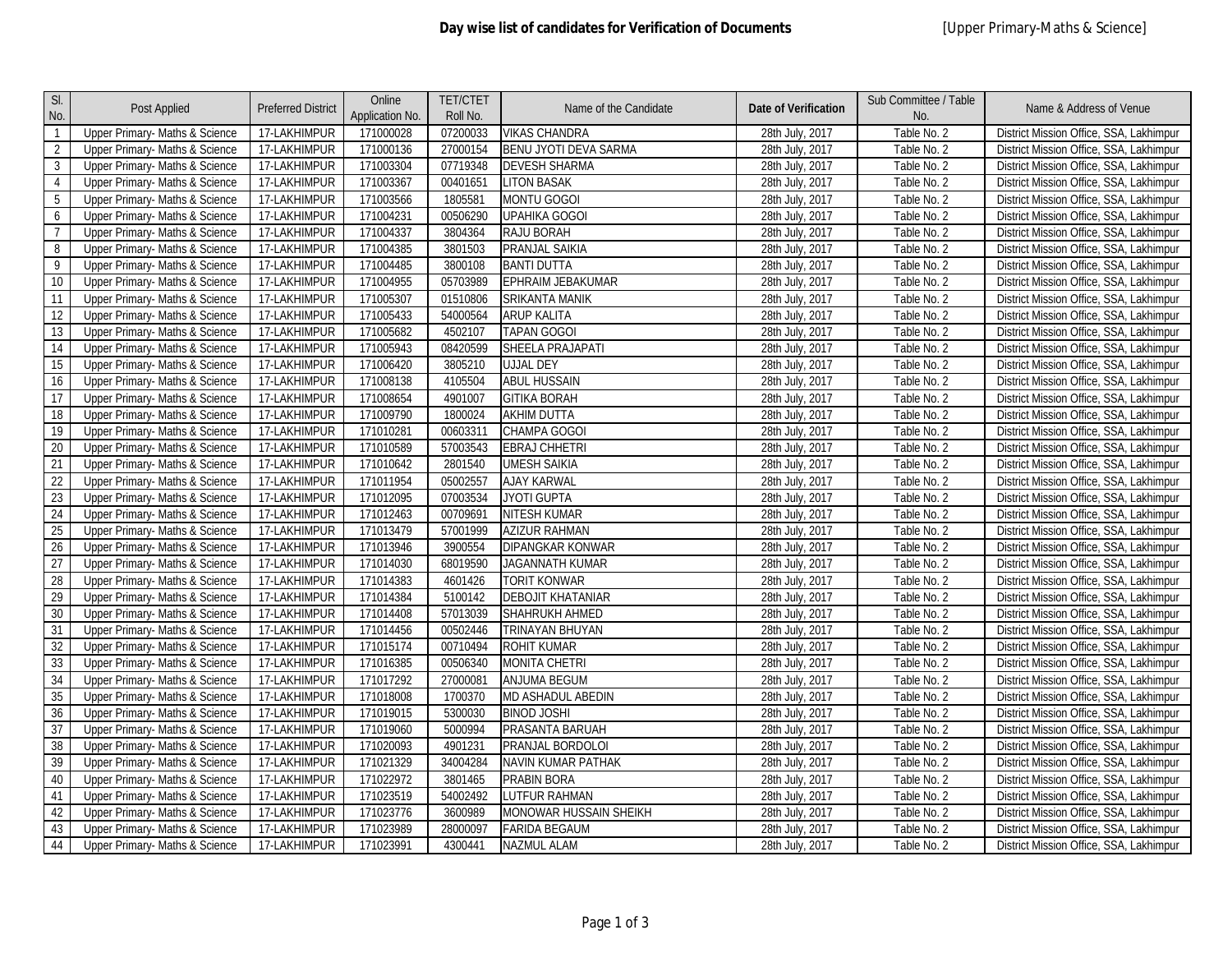| SI.<br>No.      | Post Applied                              | <b>Preferred District</b> | Online<br>Application No. | <b>TET/CTET</b><br>Roll No. | Name of the Candidate        | <b>Date of Verification</b> | Sub Committee / Table<br>No. | Name & Address of Venue                 |
|-----------------|-------------------------------------------|---------------------------|---------------------------|-----------------------------|------------------------------|-----------------------------|------------------------------|-----------------------------------------|
| $\mathbf{1}$    | Upper Primary- Maths & Science            | 17-LAKHIMPUR              | 171000028                 | 07200033                    | <b>VIKAS CHANDRA</b>         | 28th July, 2017             | Table No. 2                  | District Mission Office, SSA, Lakhimpur |
| $\overline{2}$  | Upper Primary- Maths & Science            | 17-LAKHIMPUR              | 171000136                 | 27000154                    | <b>BENU JYOTI DEVA SARMA</b> | 28th July, 2017             | Table No. 2                  | District Mission Office, SSA, Lakhimpur |
| $\mathbf{3}$    | Upper Primary- Maths & Science            | 17-LAKHIMPUR              | 171003304                 | 07719348                    | <b>DEVESH SHARMA</b>         | 28th July, 2017             | Table No. 2                  | District Mission Office, SSA, Lakhimpur |
| $\overline{4}$  | Upper Primary- Maths & Science            | 17-LAKHIMPUR              | 171003367                 | 00401651                    | <b>LITON BASAK</b>           | 28th July, 2017             | Table No. 2                  | District Mission Office, SSA, Lakhimpur |
| 5               | <b>Upper Primary-Maths &amp; Science</b>  | 17-LAKHIMPUR              | 171003566                 | 1805581                     | MONTU GOGOI                  | 28th July, 2017             | Table No. 2                  | District Mission Office, SSA, Lakhimpur |
| 6               | Upper Primary- Maths & Science            | 17-LAKHIMPUR              | 171004231                 | 00506290                    | <b>UPAHIKA GOGOI</b>         | 28th July, 2017             | Table No. 2                  | District Mission Office, SSA, Lakhimpur |
| $\overline{7}$  | Upper Primary- Maths & Science            | 17-LAKHIMPUR              | 171004337                 | 3804364                     | <b>RAJU BORAH</b>            | 28th July, 2017             | Table No. 2                  | District Mission Office, SSA, Lakhimpur |
| 8               | Upper Primary- Maths & Science            | 17-LAKHIMPUR              | 171004385                 | 3801503                     | PRANJAL SAIKIA               | 28th July, 2017             | Table No. 2                  | District Mission Office, SSA, Lakhimpur |
| 9               | Upper Primary- Maths & Science            | 17-LAKHIMPUR              | 171004485                 | 3800108                     | <b>BANTI DUTTA</b>           | 28th July, 2017             | Table No. 2                  | District Mission Office, SSA, Lakhimpur |
| 10              | Upper Primary- Maths & Science            | 17-LAKHIMPUR              | 171004955                 | 05703989                    | EPHRAIM JEBAKUMAR            | 28th July, 2017             | Table No. 2                  | District Mission Office, SSA, Lakhimpur |
| 11              | Upper Primary- Maths & Science            | 17-LAKHIMPUR              | 171005307                 | 01510806                    | <b>SRIKANTA MANIK</b>        | 28th July, 2017             | Table No. 2                  | District Mission Office, SSA, Lakhimpur |
| 12              | <b>Upper Primary- Maths &amp; Science</b> | 17-LAKHIMPUR              | 171005433                 | 54000564                    | <b>ARUP KALITA</b>           | 28th July, 2017             | Table No. 2                  | District Mission Office, SSA, Lakhimpur |
| 13              | Upper Primary- Maths & Science            | 17-LAKHIMPUR              | 171005682                 | 4502107                     | <b>TAPAN GOGOI</b>           | 28th July, 2017             | Table No. 2                  | District Mission Office, SSA, Lakhimpur |
| 14              | Upper Primary- Maths & Science            | 17-LAKHIMPUR              | 171005943                 | 08420599                    | SHEELA PRAJAPATI             | 28th July, 2017             | Table No. 2                  | District Mission Office, SSA, Lakhimpur |
| 15              | Upper Primary- Maths & Science            | 17-LAKHIMPUR              | 171006420                 | 3805210                     | <b>UJJAL DEY</b>             | 28th July, 2017             | Table No. 2                  | District Mission Office, SSA, Lakhimpur |
| 16              | Upper Primary- Maths & Science            | 17-LAKHIMPUR              | 171008138                 | 4105504                     | <b>ABUL HUSSAIN</b>          | 28th July, 2017             | Table No. 2                  | District Mission Office, SSA, Lakhimpur |
| 17              | Upper Primary- Maths & Science            | 17-LAKHIMPUR              | 171008654                 | 4901007                     | <b>GITIKA BORAH</b>          | 28th July, 2017             | Table No. 2                  | District Mission Office, SSA, Lakhimpur |
| $18\,$          | Upper Primary- Maths & Science            | 17-LAKHIMPUR              | 171009790                 | 1800024                     | <b>AKHIM DUTTA</b>           | 28th July, 2017             | Table No. 2                  | District Mission Office, SSA, Lakhimpur |
| $\overline{19}$ | Upper Primary- Maths & Science            | 17-LAKHIMPUR              | 171010281                 | 00603311                    | CHAMPA GOGOI                 | 28th July, 2017             | Table No. 2                  | District Mission Office, SSA, Lakhimpur |
| 20              | Upper Primary- Maths & Science            | 17-LAKHIMPUR              | 171010589                 | 57003543                    | <b>EBRAJ CHHETRI</b>         | 28th July, 2017             | Table No. 2                  | District Mission Office, SSA, Lakhimpur |
| 21              | Upper Primary- Maths & Science            | 17-LAKHIMPUR              | 171010642                 | 2801540                     | <b>UMESH SAIKIA</b>          | 28th July, 2017             | Table No. 2                  | District Mission Office, SSA, Lakhimpur |
| 22              | Upper Primary- Maths & Science            | 17-LAKHIMPUR              | 171011954                 | 05002557                    | <b>AJAY KARWAL</b>           | 28th July, 2017             | Table No. 2                  | District Mission Office, SSA, Lakhimpur |
| 23              | Upper Primary- Maths & Science            | 17-LAKHIMPUR              | 171012095                 | 07003534                    | <b>JYOTI GUPTA</b>           | 28th July, 2017             | Table No. 2                  | District Mission Office, SSA, Lakhimpur |
| 24              | Upper Primary- Maths & Science            | 17-LAKHIMPUR              | 171012463                 | 00709691                    | <b>NITESH KUMAR</b>          | 28th July, 2017             | Table No. 2                  | District Mission Office, SSA, Lakhimpur |
| 25              | Upper Primary- Maths & Science            | 17-LAKHIMPUR              | 171013479                 | 57001999                    | <b>AZIZUR RAHMAN</b>         | 28th July, 2017             | Table No. 2                  | District Mission Office, SSA, Lakhimpur |
| 26              | Upper Primary- Maths & Science            | 17-LAKHIMPUR              | 171013946                 | 3900554                     | <b>DIPANGKAR KONWAR</b>      | 28th July, 2017             | Table No. 2                  | District Mission Office, SSA, Lakhimpur |
| 27              | Upper Primary- Maths & Science            | 17-LAKHIMPUR              | 171014030                 | 68019590                    | <b>JAGANNATH KUMAR</b>       | 28th July, 2017             | Table No. 2                  | District Mission Office, SSA, Lakhimpur |
| 28              | Upper Primary- Maths & Science            | 17-LAKHIMPUR              | 171014383                 | 4601426                     | <b>TORIT KONWAR</b>          | 28th July, 2017             | Table No. 2                  | District Mission Office, SSA, Lakhimpur |
| 29              | Upper Primary- Maths & Science            | 17-LAKHIMPUR              | 171014384                 | 5100142                     | <b>DEBOJIT KHATANIAR</b>     | 28th July, 2017             | Table No. 2                  | District Mission Office, SSA, Lakhimpur |
| 30              | <b>Upper Primary- Maths &amp; Science</b> | 17-LAKHIMPUR              | 171014408                 | 57013039                    | <b>SHAHRUKH AHMED</b>        | 28th July, 2017             | Table No. 2                  | District Mission Office, SSA, Lakhimpur |
| $\overline{31}$ | Upper Primary- Maths & Science            | 17-LAKHIMPUR              | 171014456                 | 00502446                    | TRINAYAN BHUYAN              | 28th July, 2017             | Table No. 2                  | District Mission Office, SSA, Lakhimpur |
| 32              | Upper Primary- Maths & Science            | 17-LAKHIMPUR              | 171015174                 | 00710494                    | <b>ROHIT KUMAR</b>           | 28th July, 2017             | Table No. 2                  | District Mission Office, SSA, Lakhimpur |
| 33              | Upper Primary- Maths & Science            | 17-LAKHIMPUR              | 171016385                 | 00506340                    | <b>MONITA CHETRI</b>         | 28th July, 2017             | Table No. 2                  | District Mission Office, SSA, Lakhimpur |
| $\overline{34}$ | Upper Primary- Maths & Science            | 17-LAKHIMPUR              | 171017292                 | 27000081                    | <b>ANJUMA BEGUM</b>          | 28th July, 2017             | Table No. 2                  | District Mission Office, SSA, Lakhimpur |
| 35              | Upper Primary- Maths & Science            | 17-LAKHIMPUR              | 171018008                 | 1700370                     | MD ASHADUL ABEDIN            | 28th July, 2017             | Table No. 2                  | District Mission Office, SSA, Lakhimpur |
| 36              | Upper Primary- Maths & Science            | 17-LAKHIMPUR              | 171019015                 | 5300030                     | <b>BINOD JOSHI</b>           | 28th July, 2017             | Table No. 2                  | District Mission Office, SSA, Lakhimpur |
| 37              | Upper Primary- Maths & Science            | 17-LAKHIMPUR              | 171019060                 | 5000994                     | PRASANTA BARUAH              | 28th July, 2017             | Table No. 2                  | District Mission Office, SSA, Lakhimpur |
| 38              | Upper Primary- Maths & Science            | 17-LAKHIMPUR              | 171020093                 | 4901231                     | PRANJAL BORDOLOI             | 28th July, 2017             | Table No. 2                  | District Mission Office, SSA, Lakhimpur |
| 39              | Upper Primary- Maths & Science            | 17-LAKHIMPUR              | 171021329                 | 34004284                    | <b>NAVIN KUMAR PATHAK</b>    | 28th July, 2017             | Table No. 2                  | District Mission Office, SSA, Lakhimpur |
| 40              | Upper Primary- Maths & Science            | 17-LAKHIMPUR              | 171022972                 | 3801465                     | PRABIN BORA                  | 28th July, 2017             | Table No. 2                  | District Mission Office, SSA, Lakhimpur |
| 41              | Upper Primary- Maths & Science            | 17-LAKHIMPUR              | 171023519                 | 54002492                    | <b>LUTFUR RAHMAN</b>         | 28th July, 2017             | Table No. 2                  | District Mission Office, SSA, Lakhimpur |
| 42              | Upper Primary- Maths & Science            | 17-LAKHIMPUR              | 171023776                 | 3600989                     | MONOWAR HUSSAIN SHEIKH       | 28th July, 2017             | Table No. 2                  | District Mission Office, SSA, Lakhimpur |
| 43              | <b>Upper Primary-Maths &amp; Science</b>  | 17-LAKHIMPUR              | 171023989                 | 28000097                    | <b>FARIDA BEGAUM</b>         | 28th July, 2017             | Table No. 2                  | District Mission Office, SSA, Lakhimpur |
| 44              | Upper Primary- Maths & Science            | 17-LAKHIMPUR              | 171023991                 | 4300441                     | <b>NAZMUL ALAM</b>           | 28th July, 2017             | Table No. 2                  | District Mission Office, SSA, Lakhimpur |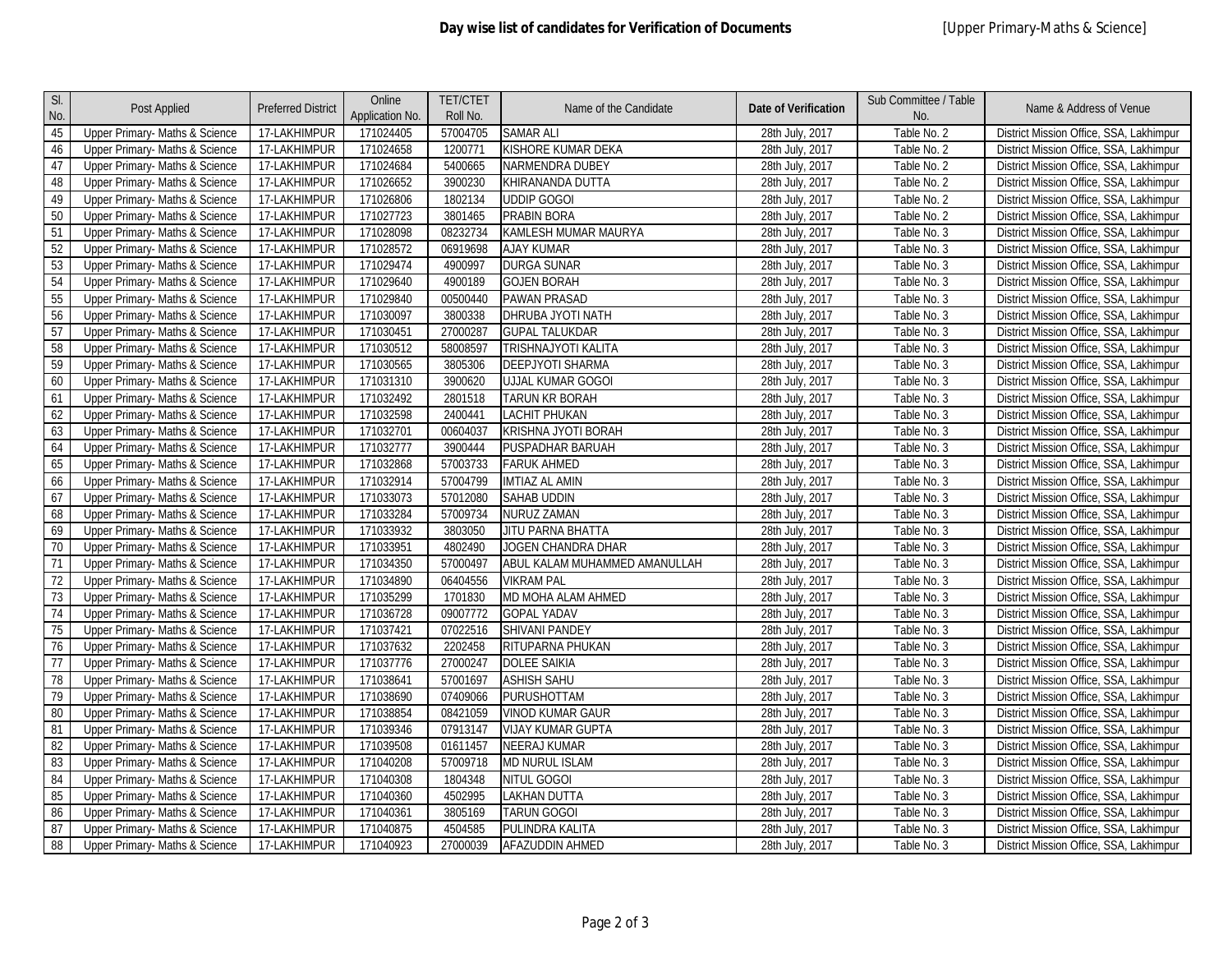| SI.<br>No.      | Post Applied                   | <b>Preferred District</b> | Online<br>Application No. | <b>TET/CTET</b><br>Roll No. | Name of the Candidate         | <b>Date of Verification</b> | Sub Committee / Table<br>No. | Name & Address of Venue                 |
|-----------------|--------------------------------|---------------------------|---------------------------|-----------------------------|-------------------------------|-----------------------------|------------------------------|-----------------------------------------|
| 45              | Upper Primary- Maths & Science | 17-LAKHIMPUR              | 171024405                 | 57004705                    | <b>SAMAR ALI</b>              | 28th July, 2017             | Table No. 2                  | District Mission Office, SSA, Lakhimpur |
| 46              | Upper Primary- Maths & Science | 17-LAKHIMPUR              | 171024658                 | 1200771                     | KISHORE KUMAR DEKA            | 28th July, 2017             | Table No. 2                  | District Mission Office, SSA, Lakhimpur |
| 47              | Upper Primary- Maths & Science | 17-LAKHIMPUR              | 171024684                 | 5400665                     | NARMENDRA DUBEY               | 28th July, 2017             | Table No. 2                  | District Mission Office, SSA, Lakhimpur |
| 48              | Upper Primary- Maths & Science | 17-LAKHIMPUR              | 171026652                 | 3900230                     | KHIRANANDA DUTTA              | 28th July, 2017             | Table No. 2                  | District Mission Office, SSA, Lakhimpur |
| 49              | Upper Primary- Maths & Science | 17-LAKHIMPUR              | 171026806                 | 1802134                     | <b>UDDIP GOGOI</b>            | 28th July, 2017             | Table No. 2                  | District Mission Office, SSA, Lakhimpur |
| 50              | Upper Primary- Maths & Science | 17-LAKHIMPUR              | 171027723                 | 3801465                     | PRABIN BORA                   | 28th July, 2017             | Table No. 2                  | District Mission Office, SSA, Lakhimpur |
| 51              | Upper Primary- Maths & Science | 17-LAKHIMPUR              | 171028098                 | 08232734                    | KAMLESH MUMAR MAURYA          | 28th July, 2017             | Table No. 3                  | District Mission Office, SSA, Lakhimpur |
| 52              | Upper Primary- Maths & Science | 17-LAKHIMPUR              | 171028572                 | 06919698                    | <b>AJAY KUMAR</b>             | 28th July, 2017             | Table No. 3                  | District Mission Office, SSA, Lakhimpur |
| 53              | Upper Primary- Maths & Science | 17-LAKHIMPUR              | 171029474                 | 4900997                     | <b>DURGA SUNAR</b>            | 28th July, 2017             | Table No. 3                  | District Mission Office, SSA, Lakhimpur |
| 54              | Upper Primary- Maths & Science | 17-LAKHIMPUR              | 171029640                 | 4900189                     | <b>GOJEN BORAH</b>            | 28th July, 2017             | Table No. 3                  | District Mission Office, SSA, Lakhimpur |
| 55              | Upper Primary- Maths & Science | 17-LAKHIMPUR              | 171029840                 | 00500440                    | <b>PAWAN PRASAD</b>           | 28th July, 2017             | Table No. 3                  | District Mission Office, SSA, Lakhimpur |
| 56              | Upper Primary- Maths & Science | 17-LAKHIMPUR              | 171030097                 | 3800338                     | DHRUBA JYOTI NATH             | 28th July, 2017             | Table No. 3                  | District Mission Office, SSA, Lakhimpur |
| 57              | Upper Primary- Maths & Science | 17-LAKHIMPUR              | 171030451                 | 27000287                    | <b>GUPAL TALUKDAR</b>         | 28th July, 2017             | Table No. 3                  | District Mission Office, SSA, Lakhimpur |
| 58              | Upper Primary- Maths & Science | 17-LAKHIMPUR              | 171030512                 | 58008597                    | TRISHNAJYOTI KALITA           | 28th July, 2017             | Table No. 3                  | District Mission Office, SSA, Lakhimpur |
| 59              | Upper Primary- Maths & Science | 17-LAKHIMPUR              | 171030565                 | 3805306                     | DEEPJYOTI SHARMA              | 28th July, 2017             | Table No. 3                  | District Mission Office, SSA, Lakhimpur |
| 60              | Upper Primary- Maths & Science | 17-LAKHIMPUR              | 171031310                 | 3900620                     | <b>UJJAL KUMAR GOGOI</b>      | 28th July, 2017             | Table No. 3                  | District Mission Office, SSA, Lakhimpur |
| 61              | Upper Primary- Maths & Science | 17-LAKHIMPUR              | 171032492                 | 2801518                     | TARUN KR BORAH                | 28th July, 2017             | Table No. 3                  | District Mission Office, SSA, Lakhimpur |
| 62              | Upper Primary- Maths & Science | 17-LAKHIMPUR              | 171032598                 | 2400441                     | LACHIT PHUKAN                 | 28th July, 2017             | Table No. 3                  | District Mission Office, SSA, Lakhimpur |
| 63              | Upper Primary- Maths & Science | 17-LAKHIMPUR              | 171032701                 | 00604037                    | KRISHNA JYOTI BORAH           | 28th July, 2017             | Table No. 3                  | District Mission Office, SSA, Lakhimpur |
| 64              | Upper Primary- Maths & Science | 17-LAKHIMPUR              | 171032777                 | 3900444                     | PUSPADHAR BARUAH              | 28th July, 2017             | Table No. 3                  | District Mission Office, SSA, Lakhimpur |
| 65              | Upper Primary- Maths & Science | 17-LAKHIMPUR              | 171032868                 | 57003733                    | <b>FARUK AHMED</b>            | 28th July, 2017             | Table No. 3                  | District Mission Office, SSA, Lakhimpur |
| 66              | Upper Primary- Maths & Science | 17-LAKHIMPUR              | 171032914                 | 57004799                    | <b>IMTIAZ AL AMIN</b>         | 28th July, 2017             | Table No. 3                  | District Mission Office, SSA, Lakhimpur |
| 67              | Upper Primary- Maths & Science | 17-LAKHIMPUR              | 171033073                 | 57012080                    | SAHAB UDDIN                   | 28th July, 2017             | Table No. 3                  | District Mission Office, SSA, Lakhimpur |
| 68              | Upper Primary- Maths & Science | 17-LAKHIMPUR              | 171033284                 | 57009734                    | NURUZ ZAMAN                   | 28th July, 2017             | Table No. 3                  | District Mission Office, SSA, Lakhimpur |
| 69              | Upper Primary- Maths & Science | 17-LAKHIMPUR              | 171033932                 | 3803050                     | <b>JITU PARNA BHATTA</b>      | 28th July, 2017             | Table No. 3                  | District Mission Office, SSA, Lakhimpur |
| $\overline{70}$ | Upper Primary- Maths & Science | 17-LAKHIMPUR              | 171033951                 | 4802490                     | JOGEN CHANDRA DHAR            | 28th July, 2017             | Table No. 3                  | District Mission Office, SSA, Lakhimpur |
| $\overline{71}$ | Upper Primary- Maths & Science | 17-LAKHIMPUR              | 171034350                 | 57000497                    | ABUL KALAM MUHAMMED AMANULLAH | 28th July, 2017             | Table No. 3                  | District Mission Office, SSA, Lakhimpur |
| $\overline{72}$ | Upper Primary- Maths & Science | 17-LAKHIMPUR              | 171034890                 | 06404556                    | <b>VIKRAM PAL</b>             | 28th July, 2017             | Table No. 3                  | District Mission Office, SSA, Lakhimpur |
| 73              | Upper Primary- Maths & Science | 17-LAKHIMPUR              | 171035299                 | 1701830                     | MD MOHA ALAM AHMED            | 28th July, 2017             | Table No. 3                  | District Mission Office, SSA, Lakhimpur |
| 74              | Upper Primary- Maths & Science | 17-LAKHIMPUR              | 171036728                 | 09007772                    | <b>GOPAL YADAV</b>            | 28th July, 2017             | Table No. 3                  | District Mission Office, SSA, Lakhimpur |
| 75              | Upper Primary- Maths & Science | 17-LAKHIMPUR              | 171037421                 | 07022516                    | <b>SHIVANI PANDEY</b>         | 28th July, 2017             | Table No. 3                  | District Mission Office, SSA, Lakhimpur |
| 76              | Upper Primary- Maths & Science | 17-LAKHIMPUR              | 171037632                 | 2202458                     | RITUPARNA PHUKAN              | 28th July, 2017             | Table No. 3                  | District Mission Office, SSA, Lakhimpur |
| $\overline{77}$ | Upper Primary- Maths & Science | 17-LAKHIMPUR              | 171037776                 | 27000247                    | <b>DOLEE SAIKIA</b>           | 28th July, 2017             | Table No. 3                  | District Mission Office, SSA, Lakhimpur |
| 78              | Upper Primary- Maths & Science | 17-LAKHIMPUR              | 171038641                 | 57001697                    | <b>ASHISH SAHU</b>            | 28th July, 2017             | Table No. 3                  | District Mission Office, SSA, Lakhimpur |
| 79              | Upper Primary- Maths & Science | 17-LAKHIMPUR              | 171038690                 | 07409066                    | <b>PURUSHOTTAM</b>            | 28th July, 2017             | Table No. 3                  | District Mission Office, SSA, Lakhimpur |
| 80              | Upper Primary- Maths & Science | 17-LAKHIMPUR              | 171038854                 | 08421059                    | <b>VINOD KUMAR GAUR</b>       | 28th July, 2017             | Table No. 3                  | District Mission Office, SSA, Lakhimpur |
| 81              | Upper Primary- Maths & Science | 17-LAKHIMPUR              | 171039346                 | 07913147                    | <b>VIJAY KUMAR GUPTA</b>      | 28th July, 2017             | Table No. 3                  | District Mission Office, SSA, Lakhimpur |
| 82              | Upper Primary- Maths & Science | 17-LAKHIMPUR              | 171039508                 | 01611457                    | <b>NEERAJ KUMAR</b>           | 28th July, 2017             | Table No. 3                  | District Mission Office, SSA, Lakhimpur |
| 83              | Upper Primary- Maths & Science | 17-LAKHIMPUR              | 171040208                 | 57009718                    | <b>MD NURUL ISLAM</b>         | 28th July, 2017             | Table No. 3                  | District Mission Office, SSA, Lakhimpur |
| 84              | Upper Primary- Maths & Science | 17-LAKHIMPUR              | 171040308                 | 1804348                     | NITUL GOGOI                   | 28th July, 2017             | Table No. 3                  | District Mission Office, SSA, Lakhimpur |
| 85              | Upper Primary- Maths & Science | 17-LAKHIMPUR              | 171040360                 | 4502995                     | <b>LAKHAN DUTTA</b>           | 28th July, 2017             | Table No. 3                  | District Mission Office, SSA, Lakhimpur |
| 86              | Upper Primary- Maths & Science | 17-LAKHIMPUR              | 171040361                 | 3805169                     | <b>TARUN GOGOI</b>            | 28th July, 2017             | Table No. 3                  | District Mission Office, SSA, Lakhimpur |
| 87              | Upper Primary- Maths & Science | 17-LAKHIMPUR              | 171040875                 | 4504585                     | PULINDRA KALITA               | 28th July, 2017             | Table No. 3                  | District Mission Office, SSA, Lakhimpur |
| 88              | Upper Primary- Maths & Science | 17-LAKHIMPUR              | 171040923                 | 27000039                    | <b>AFAZUDDIN AHMED</b>        | 28th July, 2017             | Table No. 3                  | District Mission Office, SSA, Lakhimpur |